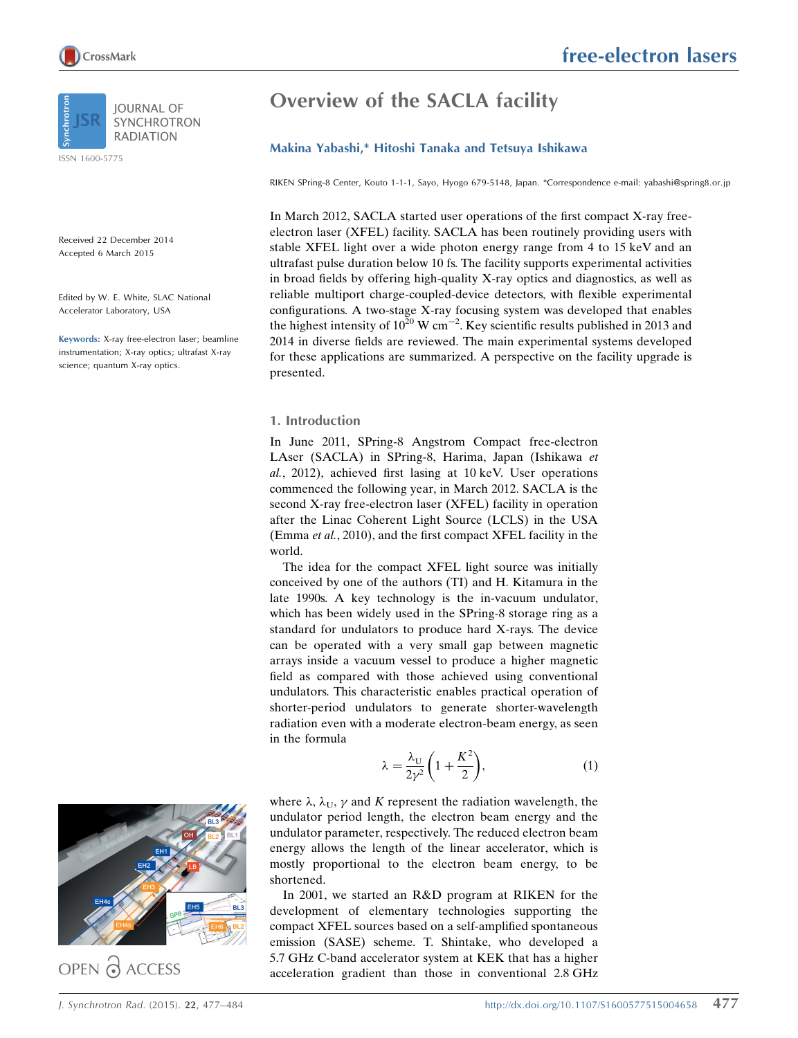

ISSN 1600-5775

Received 22 December 2014 Accepted 6 March 2015

Edited by W. E. White, SLAC National Accelerator Laboratory, USA

Keywords: X-ray free-electron laser; beamline instrumentation; X-ray optics; ultrafast X-ray science; quantum X-ray optics.

# Overview of the SACLA facility

#### Makina Yabashi,\* Hitoshi Tanaka and Tetsuya Ishikawa

RIKEN SPring-8 Center, Kouto 1-1-1, Sayo, Hyogo 679-5148, Japan. \*Correspondence e-mail: yabashi@spring8.or.jp

In March 2012, SACLA started user operations of the first compact X-ray freeelectron laser (XFEL) facility. SACLA has been routinely providing users with stable XFEL light over a wide photon energy range from 4 to 15 keV and an ultrafast pulse duration below 10 fs. The facility supports experimental activities in broad fields by offering high-quality X-ray optics and diagnostics, as well as reliable multiport charge-coupled-device detectors, with flexible experimental configurations. A two-stage X-ray focusing system was developed that enables the highest intensity of  $10^{20}$  W cm<sup>-2</sup>. Key scientific results published in 2013 and 2014 in diverse fields are reviewed. The main experimental systems developed for these applications are summarized. A perspective on the facility upgrade is presented.

#### 1. Introduction

In June 2011, SPring-8 Angstrom Compact free-electron LAser (SACLA) in SPring-8, Harima, Japan (Ishikawa et al., 2012), achieved first lasing at 10 keV. User operations commenced the following year, in March 2012. SACLA is the second X-ray free-electron laser (XFEL) facility in operation after the Linac Coherent Light Source (LCLS) in the USA (Emma et al., 2010), and the first compact XFEL facility in the world.

The idea for the compact XFEL light source was initially conceived by one of the authors (TI) and H. Kitamura in the late 1990s. A key technology is the in-vacuum undulator, which has been widely used in the SPring-8 storage ring as a standard for undulators to produce hard X-rays. The device can be operated with a very small gap between magnetic arrays inside a vacuum vessel to produce a higher magnetic field as compared with those achieved using conventional undulators. This characteristic enables practical operation of shorter-period undulators to generate shorter-wavelength radiation even with a moderate electron-beam energy, as seen in the formula

$$
\lambda = \frac{\lambda_U}{2\gamma^2} \bigg( 1 + \frac{K^2}{2} \bigg),\tag{1}
$$



OPEN & ACCESS

where  $\lambda$ ,  $\lambda$ <sub>U</sub>,  $\gamma$  and K represent the radiation wavelength, the undulator period length, the electron beam energy and the undulator parameter, respectively. The reduced electron beam energy allows the length of the linear accelerator, which is mostly proportional to the electron beam energy, to be shortened.

In 2001, we started an R&D program at RIKEN for the development of elementary technologies supporting the compact XFEL sources based on a self-amplified spontaneous emission (SASE) scheme. T. Shintake, who developed a 5.7 GHz C-band accelerator system at KEK that has a higher acceleration gradient than those in conventional 2.8 GHz

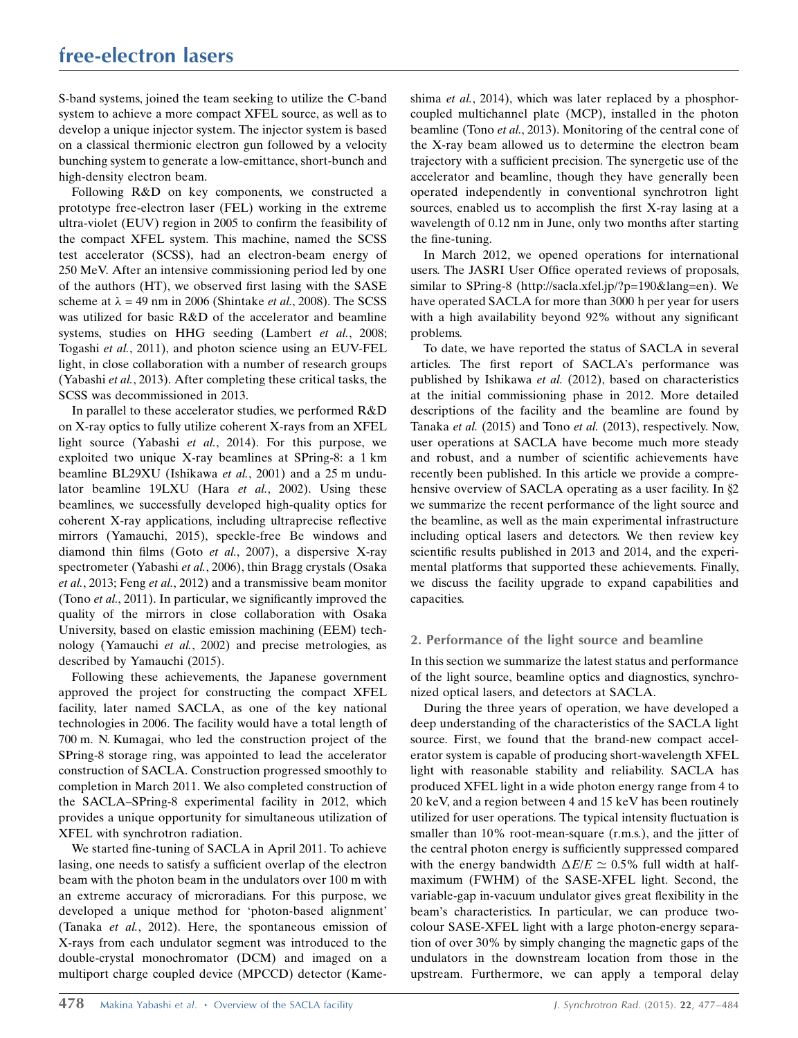S-band systems, joined the team seeking to utilize the C-band system to achieve a more compact XFEL source, as well as to develop a unique injector system. The injector system is based on a classical thermionic electron gun followed by a velocity bunching system to generate a low-emittance, short-bunch and high-density electron beam.

Following R&D on key components, we constructed a prototype free-electron laser (FEL) working in the extreme ultra-violet (EUV) region in 2005 to confirm the feasibility of the compact XFEL system. This machine, named the SCSS test accelerator (SCSS), had an electron-beam energy of 250 MeV. After an intensive commissioning period led by one of the authors (HT), we observed first lasing with the SASE scheme at  $\lambda = 49$  nm in 2006 (Shintake *et al.*, 2008). The SCSS was utilized for basic R&D of the accelerator and beamline systems, studies on HHG seeding (Lambert et al., 2008; Togashi et al., 2011), and photon science using an EUV-FEL light, in close collaboration with a number of research groups (Yabashi et al., 2013). After completing these critical tasks, the SCSS was decommissioned in 2013.

In parallel to these accelerator studies, we performed R&D on X-ray optics to fully utilize coherent X-rays from an XFEL light source (Yabashi et al., 2014). For this purpose, we exploited two unique X-ray beamlines at SPring-8: a 1 km beamline BL29XU (Ishikawa et al., 2001) and a 25 m undulator beamline 19LXU (Hara et al., 2002). Using these beamlines, we successfully developed high-quality optics for coherent X-ray applications, including ultraprecise reflective mirrors (Yamauchi, 2015), speckle-free Be windows and diamond thin films (Goto et al., 2007), a dispersive X-ray spectrometer (Yabashi et al., 2006), thin Bragg crystals (Osaka et al., 2013; Feng et al., 2012) and a transmissive beam monitor (Tono et al., 2011). In particular, we significantly improved the quality of the mirrors in close collaboration with Osaka University, based on elastic emission machining (EEM) technology (Yamauchi et al., 2002) and precise metrologies, as described by Yamauchi (2015).

Following these achievements, the Japanese government approved the project for constructing the compact XFEL facility, later named SACLA, as one of the key national technologies in 2006. The facility would have a total length of 700 m. N. Kumagai, who led the construction project of the SPring-8 storage ring, was appointed to lead the accelerator construction of SACLA. Construction progressed smoothly to completion in March 2011. We also completed construction of the SACLA–SPring-8 experimental facility in 2012, which provides a unique opportunity for simultaneous utilization of XFEL with synchrotron radiation.

We started fine-tuning of SACLA in April 2011. To achieve lasing, one needs to satisfy a sufficient overlap of the electron beam with the photon beam in the undulators over 100 m with an extreme accuracy of microradians. For this purpose, we developed a unique method for 'photon-based alignment' (Tanaka et al., 2012). Here, the spontaneous emission of X-rays from each undulator segment was introduced to the double-crystal monochromator (DCM) and imaged on a multiport charge coupled device (MPCCD) detector (Kameshima *et al.*, 2014), which was later replaced by a phosphorcoupled multichannel plate (MCP), installed in the photon beamline (Tono et al., 2013). Monitoring of the central cone of the X-ray beam allowed us to determine the electron beam trajectory with a sufficient precision. The synergetic use of the accelerator and beamline, though they have generally been operated independently in conventional synchrotron light sources, enabled us to accomplish the first X-ray lasing at a wavelength of 0.12 nm in June, only two months after starting the fine-tuning.

In March 2012, we opened operations for international users. The JASRI User Office operated reviews of proposals, similar to SPring-8 (http://sacla.xfel.jp/?p=190&lang=en). We have operated SACLA for more than 3000 h per year for users with a high availability beyond 92% without any significant problems.

To date, we have reported the status of SACLA in several articles. The first report of SACLA's performance was published by Ishikawa et al. (2012), based on characteristics at the initial commissioning phase in 2012. More detailed descriptions of the facility and the beamline are found by Tanaka et al. (2015) and Tono et al. (2013), respectively. Now, user operations at SACLA have become much more steady and robust, and a number of scientific achievements have recently been published. In this article we provide a comprehensive overview of SACLA operating as a user facility. In  $\S2$ we summarize the recent performance of the light source and the beamline, as well as the main experimental infrastructure including optical lasers and detectors. We then review key scientific results published in 2013 and 2014, and the experimental platforms that supported these achievements. Finally, we discuss the facility upgrade to expand capabilities and capacities.

## 2. Performance of the light source and beamline

In this section we summarize the latest status and performance of the light source, beamline optics and diagnostics, synchronized optical lasers, and detectors at SACLA.

During the three years of operation, we have developed a deep understanding of the characteristics of the SACLA light source. First, we found that the brand-new compact accelerator system is capable of producing short-wavelength XFEL light with reasonable stability and reliability. SACLA has produced XFEL light in a wide photon energy range from 4 to 20 keV, and a region between 4 and 15 keV has been routinely utilized for user operations. The typical intensity fluctuation is smaller than 10% root-mean-square (r.m.s.), and the jitter of the central photon energy is sufficiently suppressed compared with the energy bandwidth  $\Delta E/E \simeq 0.5\%$  full width at halfmaximum (FWHM) of the SASE-XFEL light. Second, the variable-gap in-vacuum undulator gives great flexibility in the beam's characteristics. In particular, we can produce twocolour SASE-XFEL light with a large photon-energy separation of over 30% by simply changing the magnetic gaps of the undulators in the downstream location from those in the upstream. Furthermore, we can apply a temporal delay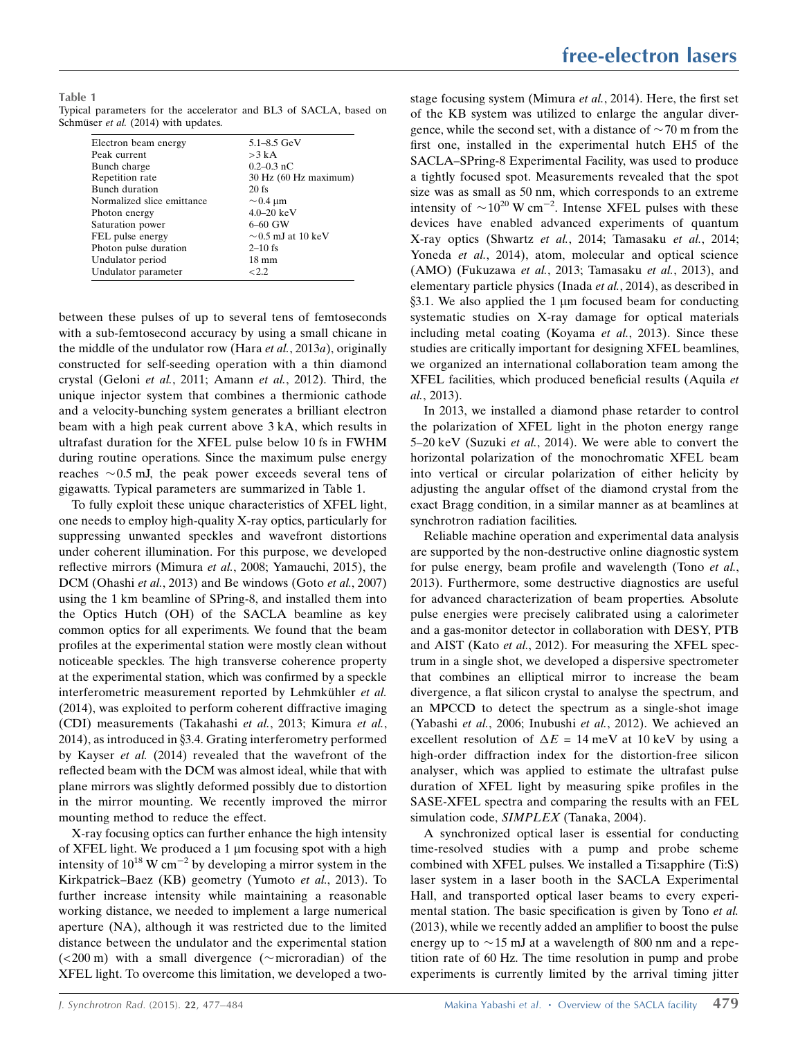Table 1 Typical parameters for the accelerator and BL3 of SACLA, based on Schmüser et al. (2014) with updates.

| $5.1 - 8.5$ GeV         |
|-------------------------|
|                         |
|                         |
| $0.2 - 0.3$ nC          |
| 30 Hz (60 Hz maximum)   |
|                         |
| $\sim$ 0.4 µm           |
| $4.0 - 20 \text{ keV}$  |
| $6 - 60$ GW             |
| $\sim$ 0.5 mJ at 10 keV |
| $2 - 10$ fs             |
|                         |
|                         |
|                         |

between these pulses of up to several tens of femtoseconds with a sub-femtosecond accuracy by using a small chicane in the middle of the undulator row (Hara *et al.*, 2013*a*), originally constructed for self-seeding operation with a thin diamond crystal (Geloni et al., 2011; Amann et al., 2012). Third, the unique injector system that combines a thermionic cathode and a velocity-bunching system generates a brilliant electron beam with a high peak current above 3 kA, which results in ultrafast duration for the XFEL pulse below 10 fs in FWHM during routine operations. Since the maximum pulse energy reaches  $\sim 0.5$  mJ, the peak power exceeds several tens of gigawatts. Typical parameters are summarized in Table 1.

To fully exploit these unique characteristics of XFEL light, one needs to employ high-quality X-ray optics, particularly for suppressing unwanted speckles and wavefront distortions under coherent illumination. For this purpose, we developed reflective mirrors (Mimura et al., 2008; Yamauchi, 2015), the DCM (Ohashi et al., 2013) and Be windows (Goto et al., 2007) using the 1 km beamline of SPring-8, and installed them into the Optics Hutch (OH) of the SACLA beamline as key common optics for all experiments. We found that the beam profiles at the experimental station were mostly clean without noticeable speckles. The high transverse coherence property at the experimental station, which was confirmed by a speckle interferometric measurement reported by Lehmkühler et al. (2014), was exploited to perform coherent diffractive imaging (CDI) measurements (Takahashi et al., 2013; Kimura et al.,  $2014$ ), as introduced in §3.4. Grating interferometry performed by Kayser et al. (2014) revealed that the wavefront of the reflected beam with the DCM was almost ideal, while that with plane mirrors was slightly deformed possibly due to distortion in the mirror mounting. We recently improved the mirror mounting method to reduce the effect.

X-ray focusing optics can further enhance the high intensity of XFEL light. We produced a  $1 \mu m$  focusing spot with a high intensity of  $10^{18}$  W cm<sup>-2</sup> by developing a mirror system in the Kirkpatrick–Baez (KB) geometry (Yumoto et al., 2013). To further increase intensity while maintaining a reasonable working distance, we needed to implement a large numerical aperture (NA), although it was restricted due to the limited distance between the undulator and the experimental station  $(<200 \text{ m})$  with a small divergence ( $\sim$ microradian) of the XFEL light. To overcome this limitation, we developed a twostage focusing system (Mimura et al., 2014). Here, the first set of the KB system was utilized to enlarge the angular divergence, while the second set, with a distance of  $\sim$  70 m from the first one, installed in the experimental hutch EH5 of the SACLA–SPring-8 Experimental Facility, was used to produce a tightly focused spot. Measurements revealed that the spot size was as small as 50 nm, which corresponds to an extreme intensity of  $\sim 10^{20}$  W cm<sup>-2</sup>. Intense XFEL pulses with these devices have enabled advanced experiments of quantum X-ray optics (Shwartz et al., 2014; Tamasaku et al., 2014; Yoneda et al., 2014), atom, molecular and optical science (AMO) (Fukuzawa et al., 2013; Tamasaku et al., 2013), and elementary particle physics (Inada et al., 2014), as described in  $§$ 3.1. We also applied the 1 µm focused beam for conducting systematic studies on X-ray damage for optical materials including metal coating (Koyama et al., 2013). Since these studies are critically important for designing XFEL beamlines, we organized an international collaboration team among the XFEL facilities, which produced beneficial results (Aquila et al., 2013).

In 2013, we installed a diamond phase retarder to control the polarization of XFEL light in the photon energy range 5–20 keV (Suzuki et al., 2014). We were able to convert the horizontal polarization of the monochromatic XFEL beam into vertical or circular polarization of either helicity by adjusting the angular offset of the diamond crystal from the exact Bragg condition, in a similar manner as at beamlines at synchrotron radiation facilities.

Reliable machine operation and experimental data analysis are supported by the non-destructive online diagnostic system for pulse energy, beam profile and wavelength (Tono et al., 2013). Furthermore, some destructive diagnostics are useful for advanced characterization of beam properties. Absolute pulse energies were precisely calibrated using a calorimeter and a gas-monitor detector in collaboration with DESY, PTB and AIST (Kato et al., 2012). For measuring the XFEL spectrum in a single shot, we developed a dispersive spectrometer that combines an elliptical mirror to increase the beam divergence, a flat silicon crystal to analyse the spectrum, and an MPCCD to detect the spectrum as a single-shot image (Yabashi et al., 2006; Inubushi et al., 2012). We achieved an excellent resolution of  $\Delta E = 14$  meV at 10 keV by using a high-order diffraction index for the distortion-free silicon analyser, which was applied to estimate the ultrafast pulse duration of XFEL light by measuring spike profiles in the SASE-XFEL spectra and comparing the results with an FEL simulation code, SIMPLEX (Tanaka, 2004).

A synchronized optical laser is essential for conducting time-resolved studies with a pump and probe scheme combined with XFEL pulses. We installed a Ti:sapphire (Ti:S) laser system in a laser booth in the SACLA Experimental Hall, and transported optical laser beams to every experimental station. The basic specification is given by Tono et al. (2013), while we recently added an amplifier to boost the pulse energy up to  $\sim$  15 mJ at a wavelength of 800 nm and a repetition rate of 60 Hz. The time resolution in pump and probe experiments is currently limited by the arrival timing jitter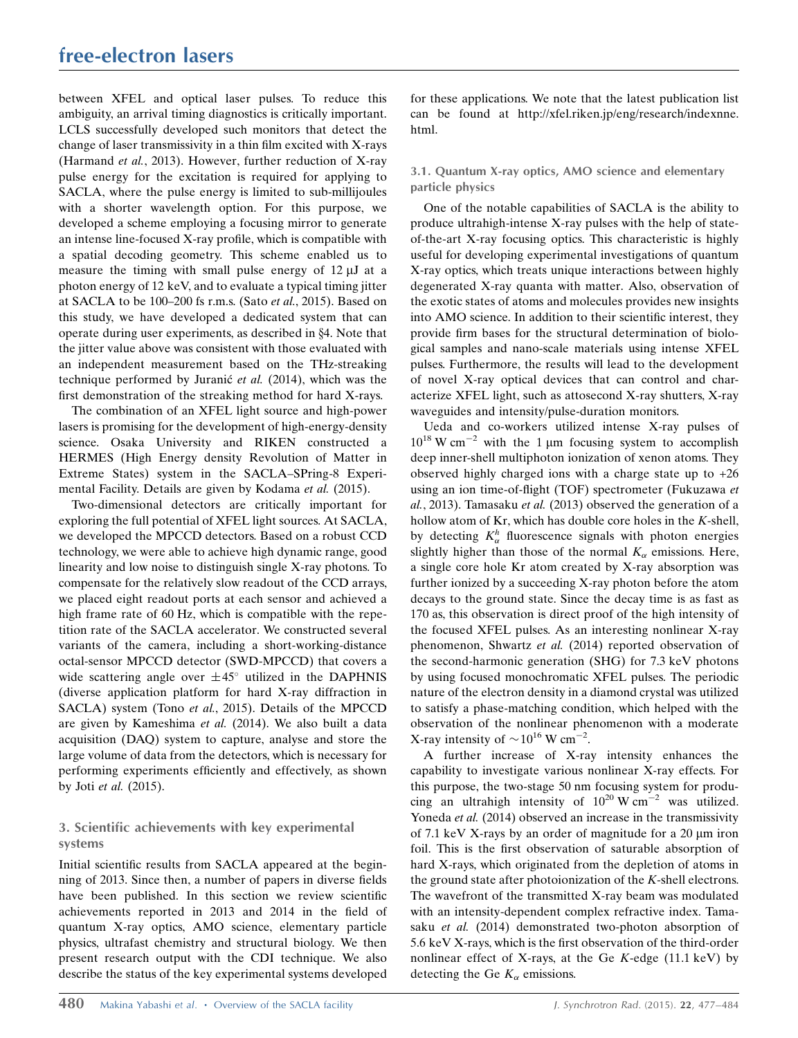# free-electron lasers

between XFEL and optical laser pulses. To reduce this ambiguity, an arrival timing diagnostics is critically important. LCLS successfully developed such monitors that detect the change of laser transmissivity in a thin film excited with X-rays (Harmand et al., 2013). However, further reduction of X-ray pulse energy for the excitation is required for applying to SACLA, where the pulse energy is limited to sub-millijoules with a shorter wavelength option. For this purpose, we developed a scheme employing a focusing mirror to generate an intense line-focused X-ray profile, which is compatible with a spatial decoding geometry. This scheme enabled us to measure the timing with small pulse energy of  $12 \mu J$  at a photon energy of 12 keV, and to evaluate a typical timing jitter at SACLA to be 100–200 fs r.m.s. (Sato et al., 2015). Based on this study, we have developed a dedicated system that can operate during user experiments, as described in  $§4$ . Note that the jitter value above was consistent with those evaluated with an independent measurement based on the THz-streaking technique performed by Juranic<sup> $et$  al. (2014), which was the</sup> first demonstration of the streaking method for hard X-rays.

The combination of an XFEL light source and high-power lasers is promising for the development of high-energy-density science. Osaka University and RIKEN constructed a HERMES (High Energy density Revolution of Matter in Extreme States) system in the SACLA–SPring-8 Experimental Facility. Details are given by Kodama et al. (2015).

Two-dimensional detectors are critically important for exploring the full potential of XFEL light sources. At SACLA, we developed the MPCCD detectors. Based on a robust CCD technology, we were able to achieve high dynamic range, good linearity and low noise to distinguish single X-ray photons. To compensate for the relatively slow readout of the CCD arrays, we placed eight readout ports at each sensor and achieved a high frame rate of 60 Hz, which is compatible with the repetition rate of the SACLA accelerator. We constructed several variants of the camera, including a short-working-distance octal-sensor MPCCD detector (SWD-MPCCD) that covers a wide scattering angle over  $\pm 45^{\circ}$  utilized in the DAPHNIS (diverse application platform for hard X-ray diffraction in SACLA) system (Tono et al., 2015). Details of the MPCCD are given by Kameshima et al. (2014). We also built a data acquisition (DAQ) system to capture, analyse and store the large volume of data from the detectors, which is necessary for performing experiments efficiently and effectively, as shown by Joti et al. (2015).

## 3. Scientific achievements with key experimental systems

Initial scientific results from SACLA appeared at the beginning of 2013. Since then, a number of papers in diverse fields have been published. In this section we review scientific achievements reported in 2013 and 2014 in the field of quantum X-ray optics, AMO science, elementary particle physics, ultrafast chemistry and structural biology. We then present research output with the CDI technique. We also describe the status of the key experimental systems developed

for these applications. We note that the latest publication list can be found at http://xfel.riken.jp/eng/research/indexnne. html.

#### 3.1. Quantum X-ray optics, AMO science and elementary particle physics

One of the notable capabilities of SACLA is the ability to produce ultrahigh-intense X-ray pulses with the help of stateof-the-art X-ray focusing optics. This characteristic is highly useful for developing experimental investigations of quantum X-ray optics, which treats unique interactions between highly degenerated X-ray quanta with matter. Also, observation of the exotic states of atoms and molecules provides new insights into AMO science. In addition to their scientific interest, they provide firm bases for the structural determination of biological samples and nano-scale materials using intense XFEL pulses. Furthermore, the results will lead to the development of novel X-ray optical devices that can control and characterize XFEL light, such as attosecond X-ray shutters, X-ray waveguides and intensity/pulse-duration monitors.

Ueda and co-workers utilized intense X-ray pulses of  $10^{18}$  W cm<sup>-2</sup> with the 1 µm focusing system to accomplish deep inner-shell multiphoton ionization of xenon atoms. They observed highly charged ions with a charge state up to  $+26$ using an ion time-of-flight (TOF) spectrometer (Fukuzawa et al., 2013). Tamasaku et al. (2013) observed the generation of a hollow atom of Kr, which has double core holes in the  $K$ -shell, by detecting  $K^h_{\alpha}$  fluorescence signals with photon energies slightly higher than those of the normal  $K_{\alpha}$  emissions. Here, a single core hole Kr atom created by X-ray absorption was further ionized by a succeeding X-ray photon before the atom decays to the ground state. Since the decay time is as fast as 170 as, this observation is direct proof of the high intensity of the focused XFEL pulses. As an interesting nonlinear X-ray phenomenon, Shwartz et al. (2014) reported observation of the second-harmonic generation (SHG) for 7.3 keV photons by using focused monochromatic XFEL pulses. The periodic nature of the electron density in a diamond crystal was utilized to satisfy a phase-matching condition, which helped with the observation of the nonlinear phenomenon with a moderate X-ray intensity of  $\sim 10^{16}$  W cm<sup>-2</sup>.

A further increase of X-ray intensity enhances the capability to investigate various nonlinear X-ray effects. For this purpose, the two-stage 50 nm focusing system for producing an ultrahigh intensity of  $10^{20}$  W cm<sup>-2</sup> was utilized. Yoneda et al. (2014) observed an increase in the transmissivity of 7.1 keV X-rays by an order of magnitude for a  $20 \mu m$  iron foil. This is the first observation of saturable absorption of hard X-rays, which originated from the depletion of atoms in the ground state after photoionization of the K-shell electrons. The wavefront of the transmitted X-ray beam was modulated with an intensity-dependent complex refractive index. Tamasaku et al. (2014) demonstrated two-photon absorption of 5.6 keV X-rays, which is the first observation of the third-order nonlinear effect of X-rays, at the Ge  $K$ -edge (11.1 keV) by detecting the Ge  $K_{\alpha}$  emissions.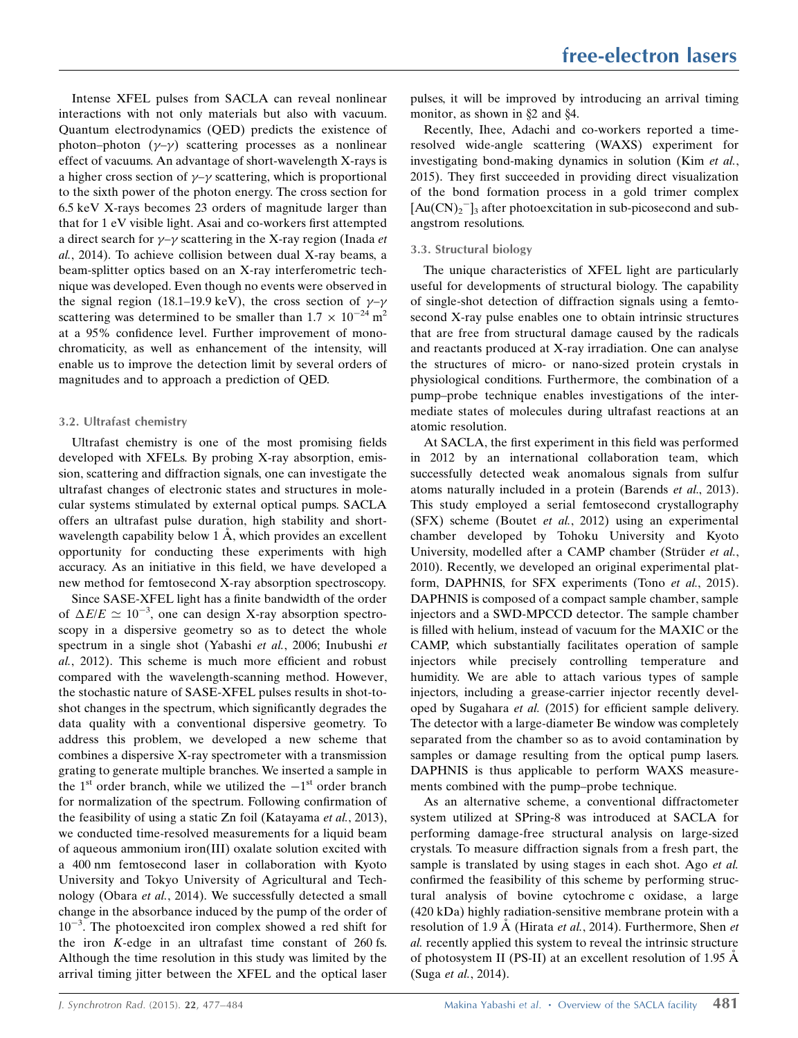Intense XFEL pulses from SACLA can reveal nonlinear interactions with not only materials but also with vacuum. Quantum electrodynamics (QED) predicts the existence of photon–photon  $(\gamma-\gamma)$  scattering processes as a nonlinear effect of vacuums. An advantage of short-wavelength X-rays is a higher cross section of  $\gamma-\gamma$  scattering, which is proportional to the sixth power of the photon energy. The cross section for 6.5 keV X-rays becomes 23 orders of magnitude larger than that for 1 eV visible light. Asai and co-workers first attempted a direct search for  $\gamma-\gamma$  scattering in the X-ray region (Inada *et* al., 2014). To achieve collision between dual X-ray beams, a beam-splitter optics based on an X-ray interferometric technique was developed. Even though no events were observed in the signal region (18.1–19.9 keV), the cross section of  $\gamma-\gamma$ scattering was determined to be smaller than  $1.7 \times 10^{-24}$  m<sup>2</sup> at a 95% confidence level. Further improvement of monochromaticity, as well as enhancement of the intensity, will enable us to improve the detection limit by several orders of magnitudes and to approach a prediction of QED.

#### 3.2. Ultrafast chemistry

Ultrafast chemistry is one of the most promising fields developed with XFELs. By probing X-ray absorption, emission, scattering and diffraction signals, one can investigate the ultrafast changes of electronic states and structures in molecular systems stimulated by external optical pumps. SACLA offers an ultrafast pulse duration, high stability and shortwavelength capability below  $1 \text{ Å}$ , which provides an excellent opportunity for conducting these experiments with high accuracy. As an initiative in this field, we have developed a new method for femtosecond X-ray absorption spectroscopy.

Since SASE-XFEL light has a finite bandwidth of the order of  $\Delta E/E \simeq 10^{-3}$ , one can design X-ray absorption spectroscopy in a dispersive geometry so as to detect the whole spectrum in a single shot (Yabashi et al., 2006; Inubushi et al., 2012). This scheme is much more efficient and robust compared with the wavelength-scanning method. However, the stochastic nature of SASE-XFEL pulses results in shot-toshot changes in the spectrum, which significantly degrades the data quality with a conventional dispersive geometry. To address this problem, we developed a new scheme that combines a dispersive X-ray spectrometer with a transmission grating to generate multiple branches. We inserted a sample in the  $1<sup>st</sup>$  order branch, while we utilized the  $-1<sup>st</sup>$  order branch for normalization of the spectrum. Following confirmation of the feasibility of using a static Zn foil (Katayama et al., 2013), we conducted time-resolved measurements for a liquid beam of aqueous ammonium iron(III) oxalate solution excited with a 400 nm femtosecond laser in collaboration with Kyoto University and Tokyo University of Agricultural and Technology (Obara et al., 2014). We successfully detected a small change in the absorbance induced by the pump of the order of  $10^{-3}$ . The photoexcited iron complex showed a red shift for the iron K-edge in an ultrafast time constant of 260 fs. Although the time resolution in this study was limited by the arrival timing jitter between the XFEL and the optical laser

pulses, it will be improved by introducing an arrival timing monitor, as shown in  $\S$ 2 and  $\S$ 4.

Recently, Ihee, Adachi and co-workers reported a timeresolved wide-angle scattering (WAXS) experiment for investigating bond-making dynamics in solution (Kim et al., 2015). They first succeeded in providing direct visualization of the bond formation process in a gold trimer complex  $[Au(CN)_2]_3$  after photoexcitation in sub-picosecond and subangstrom resolutions.

#### 3.3. Structural biology

The unique characteristics of XFEL light are particularly useful for developments of structural biology. The capability of single-shot detection of diffraction signals using a femtosecond X-ray pulse enables one to obtain intrinsic structures that are free from structural damage caused by the radicals and reactants produced at X-ray irradiation. One can analyse the structures of micro- or nano-sized protein crystals in physiological conditions. Furthermore, the combination of a pump–probe technique enables investigations of the intermediate states of molecules during ultrafast reactions at an atomic resolution.

At SACLA, the first experiment in this field was performed in 2012 by an international collaboration team, which successfully detected weak anomalous signals from sulfur atoms naturally included in a protein (Barends et al., 2013). This study employed a serial femtosecond crystallography (SFX) scheme (Boutet et al., 2012) using an experimental chamber developed by Tohoku University and Kyoto University, modelled after a CAMP chamber (Strüder et al., 2010). Recently, we developed an original experimental platform, DAPHNIS, for SFX experiments (Tono et al., 2015). DAPHNIS is composed of a compact sample chamber, sample injectors and a SWD-MPCCD detector. The sample chamber is filled with helium, instead of vacuum for the MAXIC or the CAMP, which substantially facilitates operation of sample injectors while precisely controlling temperature and humidity. We are able to attach various types of sample injectors, including a grease-carrier injector recently developed by Sugahara et al. (2015) for efficient sample delivery. The detector with a large-diameter Be window was completely separated from the chamber so as to avoid contamination by samples or damage resulting from the optical pump lasers. DAPHNIS is thus applicable to perform WAXS measurements combined with the pump–probe technique.

As an alternative scheme, a conventional diffractometer system utilized at SPring-8 was introduced at SACLA for performing damage-free structural analysis on large-sized crystals. To measure diffraction signals from a fresh part, the sample is translated by using stages in each shot. Ago *et al.* confirmed the feasibility of this scheme by performing structural analysis of bovine cytochrome c oxidase, a large (420 kDa) highly radiation-sensitive membrane protein with a resolution of 1.9 Å (Hirata et al., 2014). Furthermore, Shen et al. recently applied this system to reveal the intrinsic structure of photosystem II (PS-II) at an excellent resolution of 1.95  $\AA$ (Suga et al., 2014).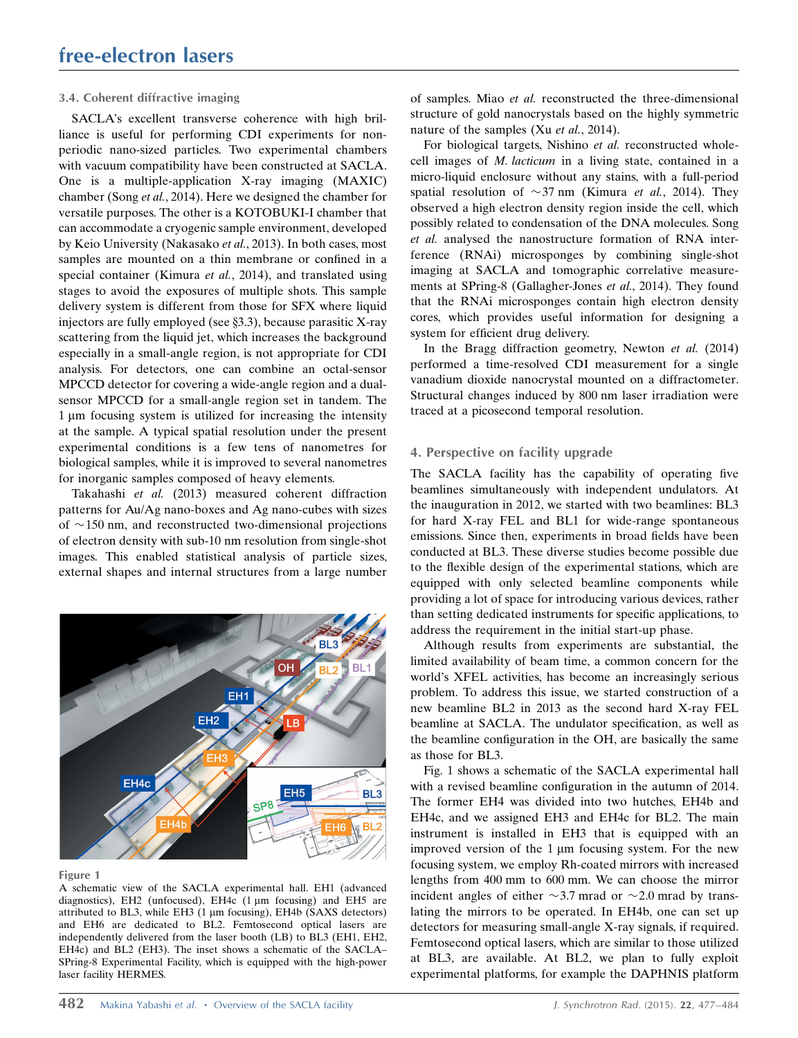#### 3.4. Coherent diffractive imaging

SACLA's excellent transverse coherence with high brilliance is useful for performing CDI experiments for nonperiodic nano-sized particles. Two experimental chambers with vacuum compatibility have been constructed at SACLA. One is a multiple-application X-ray imaging (MAXIC) chamber (Song et al., 2014). Here we designed the chamber for versatile purposes. The other is a KOTOBUKI-I chamber that can accommodate a cryogenic sample environment, developed by Keio University (Nakasako et al., 2013). In both cases, most samples are mounted on a thin membrane or confined in a special container (Kimura et al., 2014), and translated using stages to avoid the exposures of multiple shots. This sample delivery system is different from those for SFX where liquid injectors are fully employed (see  $\S$ 3.3), because parasitic X-ray scattering from the liquid jet, which increases the background especially in a small-angle region, is not appropriate for CDI analysis. For detectors, one can combine an octal-sensor MPCCD detector for covering a wide-angle region and a dualsensor MPCCD for a small-angle region set in tandem. The  $1 \mu m$  focusing system is utilized for increasing the intensity at the sample. A typical spatial resolution under the present experimental conditions is a few tens of nanometres for biological samples, while it is improved to several nanometres for inorganic samples composed of heavy elements.

Takahashi et al. (2013) measured coherent diffraction patterns for Au/Ag nano-boxes and Ag nano-cubes with sizes of  $\sim$ 150 nm, and reconstructed two-dimensional projections of electron density with sub-10 nm resolution from single-shot images. This enabled statistical analysis of particle sizes, external shapes and internal structures from a large number



Figure 1

A schematic view of the SACLA experimental hall. EH1 (advanced diagnostics),  $EH2$  (unfocused),  $EH4c$  (1  $\mu$ m focusing) and  $EH5$  are attributed to BL3, while EH3  $(1 \mu m)$  focusing), EH4b (SAXS detectors) and EH6 are dedicated to BL2. Femtosecond optical lasers are independently delivered from the laser booth (LB) to BL3 (EH1, EH2, EH4c) and BL2 (EH3). The inset shows a schematic of the SACLA– SPring-8 Experimental Facility, which is equipped with the high-power laser facility HERMES.

of samples. Miao et al. reconstructed the three-dimensional structure of gold nanocrystals based on the highly symmetric nature of the samples (Xu *et al.*, 2014).

For biological targets, Nishino et al. reconstructed wholecell images of M. lacticum in a living state, contained in a micro-liquid enclosure without any stains, with a full-period spatial resolution of  $\sim$ 37 nm (Kimura *et al.*, 2014). They observed a high electron density region inside the cell, which possibly related to condensation of the DNA molecules. Song et al. analysed the nanostructure formation of RNA interference (RNAi) microsponges by combining single-shot imaging at SACLA and tomographic correlative measurements at SPring-8 (Gallagher-Jones et al., 2014). They found that the RNAi microsponges contain high electron density cores, which provides useful information for designing a system for efficient drug delivery.

In the Bragg diffraction geometry, Newton et al. (2014) performed a time-resolved CDI measurement for a single vanadium dioxide nanocrystal mounted on a diffractometer. Structural changes induced by 800 nm laser irradiation were traced at a picosecond temporal resolution.

#### 4. Perspective on facility upgrade

The SACLA facility has the capability of operating five beamlines simultaneously with independent undulators. At the inauguration in 2012, we started with two beamlines: BL3 for hard X-ray FEL and BL1 for wide-range spontaneous emissions. Since then, experiments in broad fields have been conducted at BL3. These diverse studies become possible due to the flexible design of the experimental stations, which are equipped with only selected beamline components while providing a lot of space for introducing various devices, rather than setting dedicated instruments for specific applications, to address the requirement in the initial start-up phase.

Although results from experiments are substantial, the limited availability of beam time, a common concern for the world's XFEL activities, has become an increasingly serious problem. To address this issue, we started construction of a new beamline BL2 in 2013 as the second hard X-ray FEL beamline at SACLA. The undulator specification, as well as the beamline configuration in the OH, are basically the same as those for BL3.

Fig. 1 shows a schematic of the SACLA experimental hall with a revised beamline configuration in the autumn of 2014. The former EH4 was divided into two hutches, EH4b and EH4c, and we assigned EH3 and EH4c for BL2. The main instrument is installed in EH3 that is equipped with an improved version of the  $1 \mu m$  focusing system. For the new focusing system, we employ Rh-coated mirrors with increased lengths from 400 mm to 600 mm. We can choose the mirror incident angles of either  $\sim$ 3.7 mrad or  $\sim$ 2.0 mrad by translating the mirrors to be operated. In EH4b, one can set up detectors for measuring small-angle X-ray signals, if required. Femtosecond optical lasers, which are similar to those utilized at BL3, are available. At BL2, we plan to fully exploit experimental platforms, for example the DAPHNIS platform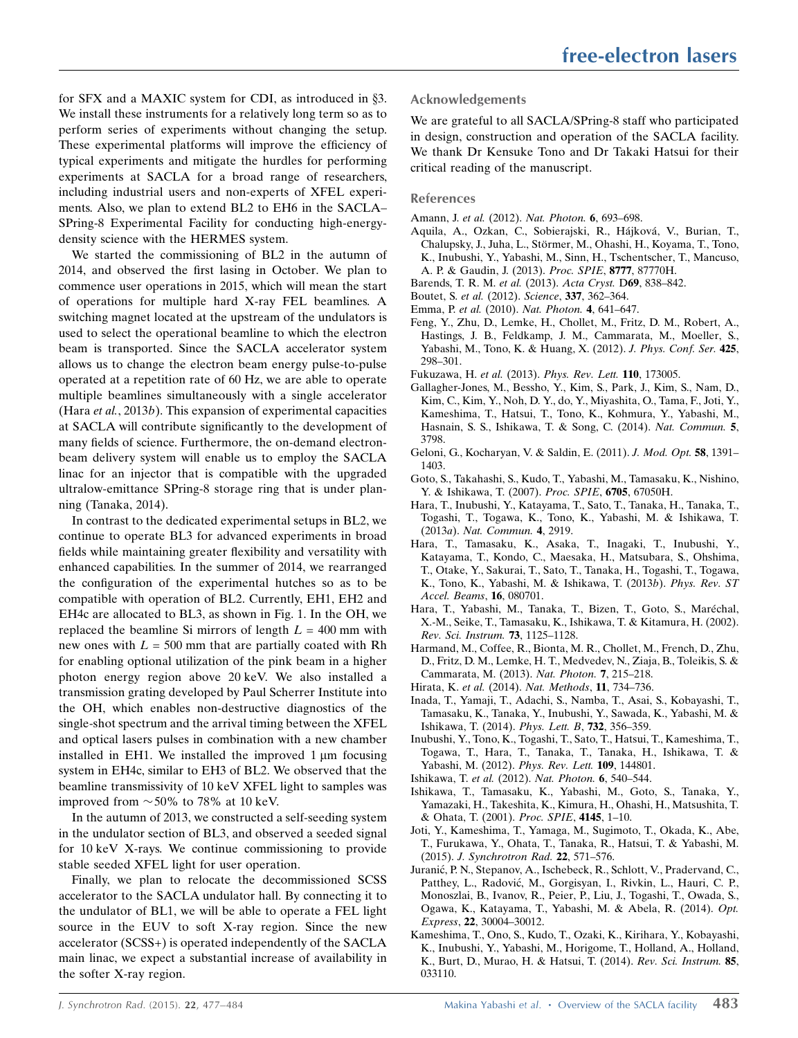for SFX and a MAXIC system for CDI, as introduced in  $\S$ 3. We install these instruments for a relatively long term so as to perform series of experiments without changing the setup. These experimental platforms will improve the efficiency of typical experiments and mitigate the hurdles for performing experiments at SACLA for a broad range of researchers, including industrial users and non-experts of XFEL experiments. Also, we plan to extend BL2 to EH6 in the SACLA– SPring-8 Experimental Facility for conducting high-energydensity science with the HERMES system.

We started the commissioning of BL2 in the autumn of 2014, and observed the first lasing in October. We plan to commence user operations in 2015, which will mean the start of operations for multiple hard X-ray FEL beamlines. A switching magnet located at the upstream of the undulators is used to select the operational beamline to which the electron beam is transported. Since the SACLA accelerator system allows us to change the electron beam energy pulse-to-pulse operated at a repetition rate of 60 Hz, we are able to operate multiple beamlines simultaneously with a single accelerator (Hara et al., 2013b). This expansion of experimental capacities at SACLA will contribute significantly to the development of many fields of science. Furthermore, the on-demand electronbeam delivery system will enable us to employ the SACLA linac for an injector that is compatible with the upgraded ultralow-emittance SPring-8 storage ring that is under planning (Tanaka, 2014).

In contrast to the dedicated experimental setups in BL2, we continue to operate BL3 for advanced experiments in broad fields while maintaining greater flexibility and versatility with enhanced capabilities. In the summer of 2014, we rearranged the configuration of the experimental hutches so as to be compatible with operation of BL2. Currently, EH1, EH2 and EH4c are allocated to BL3, as shown in Fig. 1. In the OH, we replaced the beamline Si mirrors of length  $L = 400$  mm with new ones with  $L = 500$  mm that are partially coated with Rh for enabling optional utilization of the pink beam in a higher photon energy region above 20 keV. We also installed a transmission grating developed by Paul Scherrer Institute into the OH, which enables non-destructive diagnostics of the single-shot spectrum and the arrival timing between the XFEL and optical lasers pulses in combination with a new chamber installed in EH1. We installed the improved  $1 \mu m$  focusing system in EH4c, similar to EH3 of BL2. We observed that the beamline transmissivity of 10 keV XFEL light to samples was improved from  $\sim$  50% to 78% at 10 keV.

In the autumn of 2013, we constructed a self-seeding system in the undulator section of BL3, and observed a seeded signal for 10 keV X-rays. We continue commissioning to provide stable seeded XFEL light for user operation.

Finally, we plan to relocate the decommissioned SCSS accelerator to the SACLA undulator hall. By connecting it to the undulator of BL1, we will be able to operate a FEL light source in the EUV to soft X-ray region. Since the new accelerator (SCSS+) is operated independently of the SACLA main linac, we expect a substantial increase of availability in the softer X-ray region.

#### Acknowledgements

We are grateful to all SACLA/SPring-8 staff who participated in design, construction and operation of the SACLA facility. We thank Dr Kensuke Tono and Dr Takaki Hatsui for their critical reading of the manuscript.

#### References

- Amann, J. et al. (2012). [Nat. Photon.](http://scripts.iucr.org/cgi-bin/cr.cgi?rm=pdfbb&cnor=xj5008&bbid=BB1) 6, 693–698.
- Aquila, A., Ozkan, C., Sobierajski, R., Hájková, V., Burian, T., Chalupsky, J., Juha, L., Störmer, M., Ohashi, H., Koyama, T., Tono, [K., Inubushi, Y., Yabashi, M., Sinn, H., Tschentscher, T., Mancuso,](http://scripts.iucr.org/cgi-bin/cr.cgi?rm=pdfbb&cnor=xj5008&bbid=BB67) [A. P. & Gaudin, J. \(2013\).](http://scripts.iucr.org/cgi-bin/cr.cgi?rm=pdfbb&cnor=xj5008&bbid=BB67) Proc. SPIE, 8777, 87770H.
- [Barends, T. R. M.](http://scripts.iucr.org/cgi-bin/cr.cgi?rm=pdfbb&cnor=xj5008&bbid=BB2) et al. (2013). Acta Cryst. D69, 838–842.
- Boutet, S. et al. (2012). Science, 337[, 362–364.](http://scripts.iucr.org/cgi-bin/cr.cgi?rm=pdfbb&cnor=xj5008&bbid=BB3)
- Emma, P. et al. (2010). [Nat. Photon.](http://scripts.iucr.org/cgi-bin/cr.cgi?rm=pdfbb&cnor=xj5008&bbid=BB4) 4, 641–647.
- [Feng, Y., Zhu, D., Lemke, H., Chollet, M., Fritz, D. M., Robert, A.,](http://scripts.iucr.org/cgi-bin/cr.cgi?rm=pdfbb&cnor=xj5008&bbid=BB5) [Hastings, J. B., Feldkamp, J. M., Cammarata, M., Moeller, S.,](http://scripts.iucr.org/cgi-bin/cr.cgi?rm=pdfbb&cnor=xj5008&bbid=BB5) [Yabashi, M., Tono, K. & Huang, X. \(2012\).](http://scripts.iucr.org/cgi-bin/cr.cgi?rm=pdfbb&cnor=xj5008&bbid=BB5) J. Phys. Conf. Ser. 425, [298–301.](http://scripts.iucr.org/cgi-bin/cr.cgi?rm=pdfbb&cnor=xj5008&bbid=BB5)
- Fukuzawa, H. et al. (2013). [Phys. Rev. Lett.](http://scripts.iucr.org/cgi-bin/cr.cgi?rm=pdfbb&cnor=xj5008&bbid=BB6) 110, 173005.
- [Gallagher-Jones, M., Bessho, Y., Kim, S., Park, J., Kim, S., Nam, D.,](http://scripts.iucr.org/cgi-bin/cr.cgi?rm=pdfbb&cnor=xj5008&bbid=BB7) [Kim, C., Kim, Y., Noh, D. Y., do, Y., Miyashita, O., Tama, F., Joti, Y.,](http://scripts.iucr.org/cgi-bin/cr.cgi?rm=pdfbb&cnor=xj5008&bbid=BB7) [Kameshima, T., Hatsui, T., Tono, K., Kohmura, Y., Yabashi, M.,](http://scripts.iucr.org/cgi-bin/cr.cgi?rm=pdfbb&cnor=xj5008&bbid=BB7) [Hasnain, S. S., Ishikawa, T. & Song, C. \(2014\).](http://scripts.iucr.org/cgi-bin/cr.cgi?rm=pdfbb&cnor=xj5008&bbid=BB7) Nat. Commun. 5, [3798.](http://scripts.iucr.org/cgi-bin/cr.cgi?rm=pdfbb&cnor=xj5008&bbid=BB7)
- [Geloni, G., Kocharyan, V. & Saldin, E. \(2011\).](http://scripts.iucr.org/cgi-bin/cr.cgi?rm=pdfbb&cnor=xj5008&bbid=BB8) J. Mod. Opt. 58, 1391– [1403.](http://scripts.iucr.org/cgi-bin/cr.cgi?rm=pdfbb&cnor=xj5008&bbid=BB8)
- [Goto, S., Takahashi, S., Kudo, T., Yabashi, M., Tamasaku, K., Nishino,](http://scripts.iucr.org/cgi-bin/cr.cgi?rm=pdfbb&cnor=xj5008&bbid=BB9) [Y. & Ishikawa, T. \(2007\).](http://scripts.iucr.org/cgi-bin/cr.cgi?rm=pdfbb&cnor=xj5008&bbid=BB9) Proc. SPIE, 6705, 67050H.
- [Hara, T., Inubushi, Y., Katayama, T., Sato, T., Tanaka, H., Tanaka, T.,](http://scripts.iucr.org/cgi-bin/cr.cgi?rm=pdfbb&cnor=xj5008&bbid=BB10) [Togashi, T., Togawa, K., Tono, K., Yabashi, M. & Ishikawa, T.](http://scripts.iucr.org/cgi-bin/cr.cgi?rm=pdfbb&cnor=xj5008&bbid=BB10) (2013a). [Nat. Commun.](http://scripts.iucr.org/cgi-bin/cr.cgi?rm=pdfbb&cnor=xj5008&bbid=BB10) 4, 2919.
- [Hara, T., Tamasaku, K., Asaka, T., Inagaki, T., Inubushi, Y.,](http://scripts.iucr.org/cgi-bin/cr.cgi?rm=pdfbb&cnor=xj5008&bbid=BB11) [Katayama, T., Kondo, C., Maesaka, H., Matsubara, S., Ohshima,](http://scripts.iucr.org/cgi-bin/cr.cgi?rm=pdfbb&cnor=xj5008&bbid=BB11) [T., Otake, Y., Sakurai, T., Sato, T., Tanaka, H., Togashi, T., Togawa,](http://scripts.iucr.org/cgi-bin/cr.cgi?rm=pdfbb&cnor=xj5008&bbid=BB11) [K., Tono, K., Yabashi, M. & Ishikawa, T. \(2013](http://scripts.iucr.org/cgi-bin/cr.cgi?rm=pdfbb&cnor=xj5008&bbid=BB11)b). Phys. Rev. ST [Accel. Beams](http://scripts.iucr.org/cgi-bin/cr.cgi?rm=pdfbb&cnor=xj5008&bbid=BB11), 16, 080701.
- Hara, T., Yabashi, M., Tanaka, T., Bizen, T., Goto, S., Maréchal, [X.-M., Seike, T., Tamasaku, K., Ishikawa, T. & Kitamura, H. \(2002\).](http://scripts.iucr.org/cgi-bin/cr.cgi?rm=pdfbb&cnor=xj5008&bbid=BB12) [Rev. Sci. Instrum.](http://scripts.iucr.org/cgi-bin/cr.cgi?rm=pdfbb&cnor=xj5008&bbid=BB12) 73, 1125–1128.
- [Harmand, M., Coffee, R., Bionta, M. R., Chollet, M., French, D., Zhu,](http://scripts.iucr.org/cgi-bin/cr.cgi?rm=pdfbb&cnor=xj5008&bbid=BB30) [D., Fritz, D. M., Lemke, H. T., Medvedev, N., Ziaja, B., Toleikis, S. &](http://scripts.iucr.org/cgi-bin/cr.cgi?rm=pdfbb&cnor=xj5008&bbid=BB30) [Cammarata, M. \(2013\).](http://scripts.iucr.org/cgi-bin/cr.cgi?rm=pdfbb&cnor=xj5008&bbid=BB30) Nat. Photon. 7, 215–218.
- Hirata, K. et al. (2014). [Nat. Methods](http://scripts.iucr.org/cgi-bin/cr.cgi?rm=pdfbb&cnor=xj5008&bbid=BB13), 11, 734–736.
- [Inada, T., Yamaji, T., Adachi, S., Namba, T., Asai, S., Kobayashi, T.,](http://scripts.iucr.org/cgi-bin/cr.cgi?rm=pdfbb&cnor=xj5008&bbid=BB14) [Tamasaku, K., Tanaka, Y., Inubushi, Y., Sawada, K., Yabashi, M. &](http://scripts.iucr.org/cgi-bin/cr.cgi?rm=pdfbb&cnor=xj5008&bbid=BB14) [Ishikawa, T. \(2014\).](http://scripts.iucr.org/cgi-bin/cr.cgi?rm=pdfbb&cnor=xj5008&bbid=BB14) Phys. Lett. B, 732, 356–359.
- [Inubushi, Y., Tono, K., Togashi, T., Sato, T., Hatsui, T., Kameshima, T.,](http://scripts.iucr.org/cgi-bin/cr.cgi?rm=pdfbb&cnor=xj5008&bbid=BB15) [Togawa, T., Hara, T., Tanaka, T., Tanaka, H., Ishikawa, T. &](http://scripts.iucr.org/cgi-bin/cr.cgi?rm=pdfbb&cnor=xj5008&bbid=BB15) [Yabashi, M. \(2012\).](http://scripts.iucr.org/cgi-bin/cr.cgi?rm=pdfbb&cnor=xj5008&bbid=BB15) Phys. Rev. Lett. 109, 144801.
- Ishikawa, T. et al. (2012). [Nat. Photon.](http://scripts.iucr.org/cgi-bin/cr.cgi?rm=pdfbb&cnor=xj5008&bbid=BB16) 6, 540–544.
- [Ishikawa, T., Tamasaku, K., Yabashi, M., Goto, S., Tanaka, Y.,](http://scripts.iucr.org/cgi-bin/cr.cgi?rm=pdfbb&cnor=xj5008&bbid=BB17) [Yamazaki, H., Takeshita, K., Kimura, H., Ohashi, H., Matsushita, T.](http://scripts.iucr.org/cgi-bin/cr.cgi?rm=pdfbb&cnor=xj5008&bbid=BB17) [& Ohata, T. \(2001\).](http://scripts.iucr.org/cgi-bin/cr.cgi?rm=pdfbb&cnor=xj5008&bbid=BB17) Proc. SPIE, 4145, 1–10.
- [Joti, Y., Kameshima, T., Yamaga, M., Sugimoto, T., Okada, K., Abe,](http://scripts.iucr.org/cgi-bin/cr.cgi?rm=pdfbb&cnor=xj5008&bbid=BB18) [T., Furukawa, Y., Ohata, T., Tanaka, R., Hatsui, T. & Yabashi, M.](http://scripts.iucr.org/cgi-bin/cr.cgi?rm=pdfbb&cnor=xj5008&bbid=BB18) (2015). [J. Synchrotron Rad.](http://scripts.iucr.org/cgi-bin/cr.cgi?rm=pdfbb&cnor=xj5008&bbid=BB18) 22, 571–576.
- Juranić, P. N., Stepanov, A., Ischebeck, R., Schlott, V., Pradervand, C., Patthey, L., Radović, M., Gorgisyan, I., Rivkin, L., Hauri, C. P., [Monoszlai, B., Ivanov, R., Peier, P., Liu, J., Togashi, T., Owada, S.,](http://scripts.iucr.org/cgi-bin/cr.cgi?rm=pdfbb&cnor=xj5008&bbid=BB19) [Ogawa, K., Katayama, T., Yabashi, M. & Abela, R. \(2014\).](http://scripts.iucr.org/cgi-bin/cr.cgi?rm=pdfbb&cnor=xj5008&bbid=BB19) Opt. Express, 22[, 30004–30012.](http://scripts.iucr.org/cgi-bin/cr.cgi?rm=pdfbb&cnor=xj5008&bbid=BB19)
- [Kameshima, T., Ono, S., Kudo, T., Ozaki, K., Kirihara, Y., Kobayashi,](http://scripts.iucr.org/cgi-bin/cr.cgi?rm=pdfbb&cnor=xj5008&bbid=BB20) [K., Inubushi, Y., Yabashi, M., Horigome, T., Holland, A., Holland,](http://scripts.iucr.org/cgi-bin/cr.cgi?rm=pdfbb&cnor=xj5008&bbid=BB20) [K., Burt, D., Murao, H. & Hatsui, T. \(2014\).](http://scripts.iucr.org/cgi-bin/cr.cgi?rm=pdfbb&cnor=xj5008&bbid=BB20) Rev. Sci. Instrum. 85, [033110.](http://scripts.iucr.org/cgi-bin/cr.cgi?rm=pdfbb&cnor=xj5008&bbid=BB20)